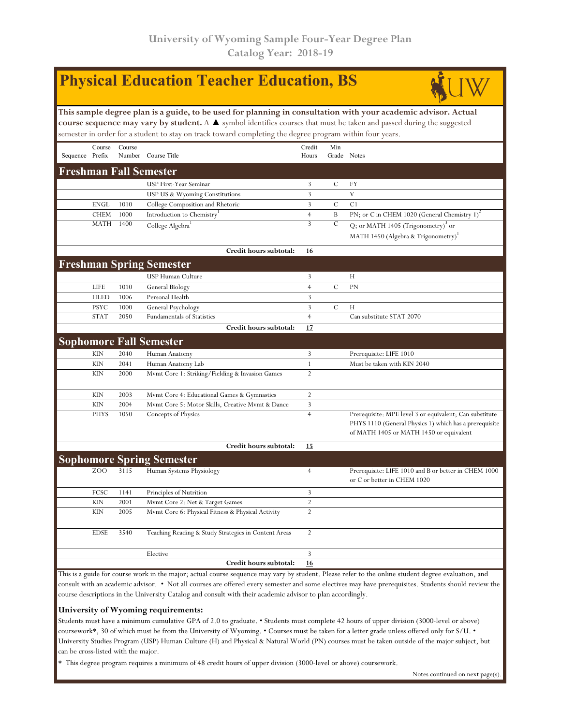|                 |             |        | <b>Physical Education Teacher Education, BS</b>                                                                                      |                |               |                                                                                                                                                              |
|-----------------|-------------|--------|--------------------------------------------------------------------------------------------------------------------------------------|----------------|---------------|--------------------------------------------------------------------------------------------------------------------------------------------------------------|
|                 |             |        | This sample degree plan is a guide, to be used for planning in consultation with your academic advisor. Actual                       |                |               |                                                                                                                                                              |
|                 |             |        | course sequence may vary by student. A $\blacktriangle$ symbol identifies courses that must be taken and passed during the suggested |                |               |                                                                                                                                                              |
|                 |             |        | semester in order for a student to stay on track toward completing the degree program within four years.                             |                |               |                                                                                                                                                              |
|                 | Course      | Course |                                                                                                                                      | Credit         | Min           |                                                                                                                                                              |
| Sequence Prefix |             |        | Number Course Title                                                                                                                  | Hours          | Grade Notes   |                                                                                                                                                              |
|                 |             |        | <b>Freshman Fall Semester</b>                                                                                                        |                |               |                                                                                                                                                              |
|                 |             |        | <b>USP First-Year Seminar</b>                                                                                                        | $\overline{3}$ | $\mathcal{C}$ | FY                                                                                                                                                           |
|                 |             |        | USP US & Wyoming Constitutions                                                                                                       | 3              |               | V                                                                                                                                                            |
|                 | <b>ENGL</b> | 1010   | College Composition and Rhetoric                                                                                                     | 3              | C             | C <sub>1</sub>                                                                                                                                               |
|                 | <b>CHEM</b> | 1000   | Introduction to Chemistry'                                                                                                           | $\overline{4}$ | B             | PN; or C in CHEM 1020 (General Chemistry 1) <sup>2</sup>                                                                                                     |
|                 | MATH        | 1400   | College Algebra                                                                                                                      | 3              | $\mathcal{C}$ | Q; or MATH 1405 (Trigonometry) <sup>3</sup> or                                                                                                               |
|                 |             |        |                                                                                                                                      |                |               | MATH 1450 (Algebra & Trigonometry) <sup>1</sup>                                                                                                              |
|                 |             |        |                                                                                                                                      |                |               |                                                                                                                                                              |
|                 |             |        | Credit hours subtotal:                                                                                                               | <u>16</u>      |               |                                                                                                                                                              |
|                 |             |        | <b>Freshman Spring Semester</b>                                                                                                      |                |               |                                                                                                                                                              |
|                 |             |        | USP Human Culture                                                                                                                    | 3              |               | Н                                                                                                                                                            |
|                 | LIFE        | 1010   | General Biology                                                                                                                      | $\overline{4}$ | $\mathcal{C}$ | <b>PN</b>                                                                                                                                                    |
|                 | <b>HLED</b> | 1006   | Personal Health                                                                                                                      | 3              |               |                                                                                                                                                              |
|                 | <b>PSYC</b> | 1000   | General Psychology                                                                                                                   | 3              | C             | Н                                                                                                                                                            |
|                 | <b>STAT</b> | 2050   | <b>Fundamentals of Statistics</b>                                                                                                    | $\overline{4}$ |               | Can substitute STAT 2070                                                                                                                                     |
|                 |             |        | Credit hours subtotal:                                                                                                               | 17             |               |                                                                                                                                                              |
|                 |             |        | <b>Sophomore Fall Semester</b>                                                                                                       |                |               |                                                                                                                                                              |
|                 | KIN         | 2040   | Human Anatomy                                                                                                                        | 3              |               | Prerequisite: LIFE 1010                                                                                                                                      |
|                 | <b>KIN</b>  | 2041   | Human Anatomy Lab                                                                                                                    | $\mathbf{1}$   |               | Must be taken with KIN 2040                                                                                                                                  |
|                 | KIN         | 2000   | Mvmt Core 1: Striking/Fielding & Invasion Games                                                                                      | $\overline{2}$ |               |                                                                                                                                                              |
|                 |             |        |                                                                                                                                      |                |               |                                                                                                                                                              |
|                 | KIN         | 2003   | Mymt Core 4: Educational Games & Gymnastics                                                                                          | $\overline{2}$ |               |                                                                                                                                                              |
|                 | <b>KIN</b>  | 2004   | Mymt Core 5: Motor Skills, Creative Mymt & Dance                                                                                     | $\mathbf{3}$   |               |                                                                                                                                                              |
|                 | <b>PHYS</b> | 1050   | Concepts of Physics                                                                                                                  | $\overline{4}$ |               | Prerequisite: MPE level 3 or equivalent; Can substitute<br>PHYS 1110 (General Physics 1) which has a prerequisite<br>of MATH 1405 or MATH 1450 or equivalent |
|                 |             |        | Credit hours subtotal:                                                                                                               | 15             |               |                                                                                                                                                              |
|                 |             |        | <b>Sophomore Spring Semester</b>                                                                                                     |                |               |                                                                                                                                                              |
|                 | ZOO         | 3115   | Human Systems Physiology                                                                                                             | $\overline{4}$ |               | Prerequisite: LIFE 1010 and B or better in CHEM 1000<br>or C or better in CHEM 1020                                                                          |
|                 | FCSC        | 1141   | Principles of Nutrition                                                                                                              | 3              |               |                                                                                                                                                              |
|                 | KIN         | 2001   | Mymt Core 2: Net & Target Games                                                                                                      | $\overline{2}$ |               |                                                                                                                                                              |
|                 | KIN         | 2005   | Mvmt Core 6: Physical Fitness & Physical Activity                                                                                    | $\overline{2}$ |               |                                                                                                                                                              |
|                 | <b>EDSE</b> | 3540   | Teaching Reading & Study Strategies in Content Areas                                                                                 | $\overline{2}$ |               |                                                                                                                                                              |
|                 |             |        | Elective                                                                                                                             | 3              |               |                                                                                                                                                              |
|                 |             |        | Credit hours subtotal:                                                                                                               | 16             |               |                                                                                                                                                              |

e for course work in the major; actual course sequence may vary by student. Please refer to the online student degree evaluation, and consult with an academic advisor. • Not all courses are offered every semester and some electives may have prerequisites. Students should review the course descriptions in the University Catalog and consult with their academic advisor to plan accordingly.

# **University of Wyoming requirements:**

Students must have a minimum cumulative GPA of 2.0 to graduate. • Students must complete 42 hours of upper division (3000-level or above) coursework\*, 30 of which must be from the University of Wyoming. • Courses must be taken for a letter grade unless offered only for S/U. • University Studies Program (USP) Human Culture (H) and Physical & Natural World (PN) courses must be taken outside of the major subject, but can be cross-listed with the major.

\* This degree program requires a minimum of 48 credit hours of upper division (3000-level or above) coursework.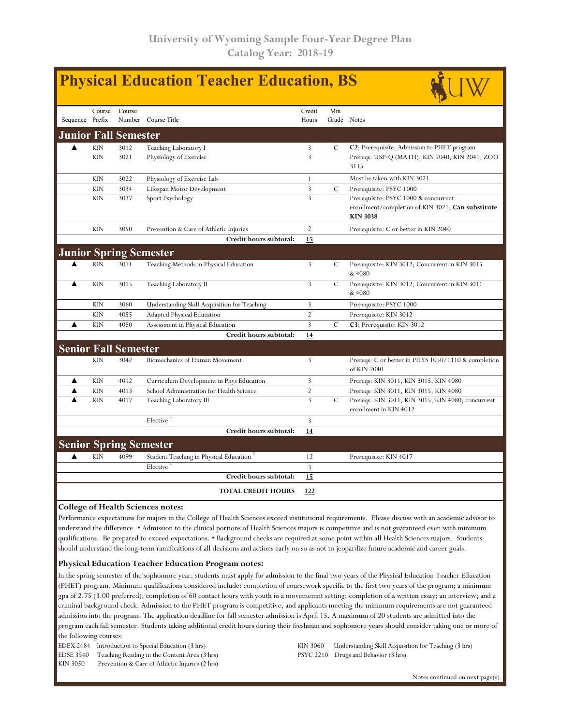|                 |            |                               |                                              | <b>Physical Education Teacher Education, BS</b> |               |                                                                                                              |
|-----------------|------------|-------------------------------|----------------------------------------------|-------------------------------------------------|---------------|--------------------------------------------------------------------------------------------------------------|
| Sequence Prefix | Course     | Course                        | Number Course Title                          | Credit<br>Hours                                 | Min           | Grade Notes                                                                                                  |
|                 |            | <b>Junior Fall Semester</b>   |                                              |                                                 |               |                                                                                                              |
| ▲               | <b>KIN</b> | 3012                          | Teaching Laboratory I                        | 3                                               | C             | C2; Prerequisite: Admission to PHET program                                                                  |
|                 | <b>KIN</b> | 3021                          | Physiology of Exercise                       | $\overline{3}$                                  |               | Prereqs: USP-Q (MATH), KIN 2040, KIN 2041, ZOO<br>3115                                                       |
|                 | <b>KIN</b> | 3022                          | Physiology of Exercise Lab                   | 1                                               |               | Must be taken with KIN 3021                                                                                  |
|                 | <b>KIN</b> | 3034                          | Lifespan Motor Development                   | 3                                               | $\mathcal{C}$ | Prerequisite: PSYC 1000                                                                                      |
|                 | <b>KIN</b> | 3037                          | Sport Psychology                             | $\overline{3}$                                  |               | Prerequisite: PSYC 1000 & concurrent<br>enrollment/completion of KIN 3021; Can substitute<br><b>KIN 3038</b> |
|                 | <b>KIN</b> | 3050                          | Prevention & Care of Athletic Injuries       | $\overline{2}$                                  |               | Prerequisite: C or better in KIN 2040                                                                        |
|                 |            |                               | Credit hours subtotal:                       | 15                                              |               |                                                                                                              |
|                 |            |                               | <b>Junior Spring Semester</b>                |                                                 |               |                                                                                                              |
|                 | <b>KIN</b> | 3011                          | Teaching Methods in Physical Education       | $\mathbf{3}$                                    | C             | Prerequisite: KIN 3012; Concurrent in KIN 3015<br>& 4080                                                     |
|                 | <b>KIN</b> | 3015                          | Teaching Laboratory II                       | $\overline{3}$                                  | $\mathcal{C}$ | Prerequisite: KIN 3012; Concurrent in KIN 3011<br>& 4080                                                     |
|                 | <b>KIN</b> | 3060                          | Understanding Skill Acquisition for Teaching | 3                                               |               | Prerequisite: PSYC 1000                                                                                      |
|                 | <b>KIN</b> | 4055                          | Adapted Physical Education                   | 2                                               |               | Prerequisite: KIN 3012                                                                                       |
|                 | <b>KIN</b> | 4080                          | Assessment in Physical Education             | $\overline{3}$                                  | C             | C3; Prerequisite: KIN 3012                                                                                   |
|                 |            |                               | Credit hours subtotal:                       | 14                                              |               |                                                                                                              |
|                 |            | <b>Senior Fall Semester</b>   |                                              |                                                 |               |                                                                                                              |
|                 | <b>KIN</b> | 3042                          | Biomechanics of Human Movement               | 3                                               |               | Prereqs: C or better in PHYS 1050/1110 & completion<br>of KIN 2040                                           |
| ▲               | <b>KIN</b> | 4012                          | Curriculum Development in Phys Education     | $\overline{3}$                                  |               | Prereqs: KIN 3011, KIN 3015, KIN 4080                                                                        |
| ▲               | <b>KIN</b> | 4013                          | School Administration for Health Science     | $\overline{2}$                                  |               | Prereqs: KIN 3011, KIN 3015, KIN 4080                                                                        |
|                 | <b>KIN</b> | 4017                          | Teaching Laboratory III                      | $\overline{3}$                                  | $\mathcal{C}$ | Prereqs: KIN 3011, KIN 3015, KIN 4080; concurrent<br>enrollment in KIN 4012                                  |
|                 |            |                               | Elective <sup>+</sup>                        | $\overline{3}$                                  |               |                                                                                                              |
|                 |            |                               | Credit hours subtotal:                       | 14                                              |               |                                                                                                              |
|                 |            | <b>Senior Spring Semester</b> |                                              |                                                 |               |                                                                                                              |
| ▲               | <b>KIN</b> | 4099                          | Student Teaching in Physical Education       | 12                                              |               | Prerequisite: KIN 4017                                                                                       |
|                 |            |                               | Elective <sup>4</sup>                        | $\overline{3}$                                  |               |                                                                                                              |
|                 |            |                               | Credit hours subtotal:                       | 15                                              |               |                                                                                                              |
|                 |            |                               | <b>TOTAL CREDIT HOURS</b>                    | 122                                             |               |                                                                                                              |

## **College of Health Sciences notes:**

Performance expectations for majors in the College of Health Sciences exceed institutional requirements. Please discuss with an academic advisor to understand the difference. • Admission to the clinical portions of Health Sciences majors is competitive and is not guaranteed even with minimum qualifications. Be prepared to exceed expectations. • Background checks are required at some point within all Health Sciences majors. Students should understand the long-term ramifications of all decisions and actions early on so as not to jeopardize future academic and career goals.

### **Physical Education Teacher Education Program notes:**

In the spring semester of the sophomore year, students must apply for admission to the final two years of the Physical Education Teacher Education (PHET) program. Minimum qualifications considered include: completion of coursework specific to the first two years of the program; a minimum gpa of 2.75 (3.00 preferred); completion of 60 contact hours with youth in a movememnt setting; completion of a written essay; an interview; and a criminal background check. Admission to the PHET program is competitive, and applicants meeting the minimum requirements are not guaranteed admission into the program. The application deadline for fall semester admission is April 15. A maximum of 20 students are admitted into the program each fall semester. Students taking additional credit hours during their freshman and sophomore years should consider taking one or more of the following courses:

EDEX 2484 Introduction to Special Education (3 hrs)

EDSE 3540 Teaching Reading in the Content Area (3 hrs) KIN 3050 Prevention & Care of Athletic Injuries (2 hrs) KIN 3060 Understanding Skill Acquisition for Teaching (3 hrs) PSYC 2210 Drugs and Behavior (3 hrs)

Notes continued on next page(s).